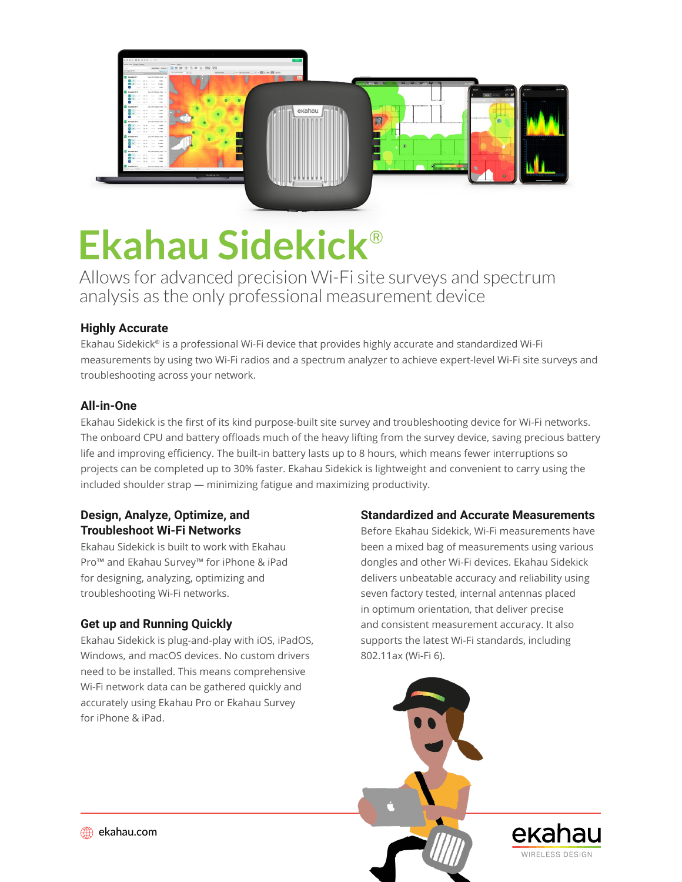

# **Ekahau Sidekick**®

Allows for advanced precision Wi-Fi site surveys and spectrum analysis as the only professional measurement device

# **Highly Accurate**

Ekahau Sidekick® is a professional Wi-Fi device that provides highly accurate and standardized Wi-Fi measurements by using two Wi-Fi radios and a spectrum analyzer to achieve expert-level Wi-Fi site surveys and troubleshooting across your network.

# **All-in-One**

Ekahau Sidekick is the first of its kind purpose-built site survey and troubleshooting device for Wi-Fi networks. The onboard CPU and battery offloads much of the heavy lifting from the survey device, saving precious battery life and improving efficiency. The built-in battery lasts up to 8 hours, which means fewer interruptions so projects can be completed up to 30% faster. Ekahau Sidekick is lightweight and convenient to carry using the included shoulder strap — minimizing fatigue and maximizing productivity.

# **Design, Analyze, Optimize, and Troubleshoot Wi-Fi Networks**

Ekahau Sidekick is built to work with Ekahau Pro™ and Ekahau Survey™ for iPhone & iPad for designing, analyzing, optimizing and troubleshooting Wi-Fi networks.

# **Get up and Running Quickly**

Ekahau Sidekick is plug-and-play with iOS, iPadOS, Windows, and macOS devices. No custom drivers need to be installed. This means comprehensive Wi-Fi network data can be gathered quickly and accurately using Ekahau Pro or Ekahau Survey for iPhone & iPad.

# **Standardized and Accurate Measurements**

Before Ekahau Sidekick, Wi-Fi measurements have been a mixed bag of measurements using various dongles and other Wi-Fi devices. Ekahau Sidekick delivers unbeatable accuracy and reliability using seven factory tested, internal antennas placed in optimum orientation, that deliver precise and consistent measurement accuracy. It also supports the latest Wi-Fi standards, including 802.11ax (Wi-Fi 6).